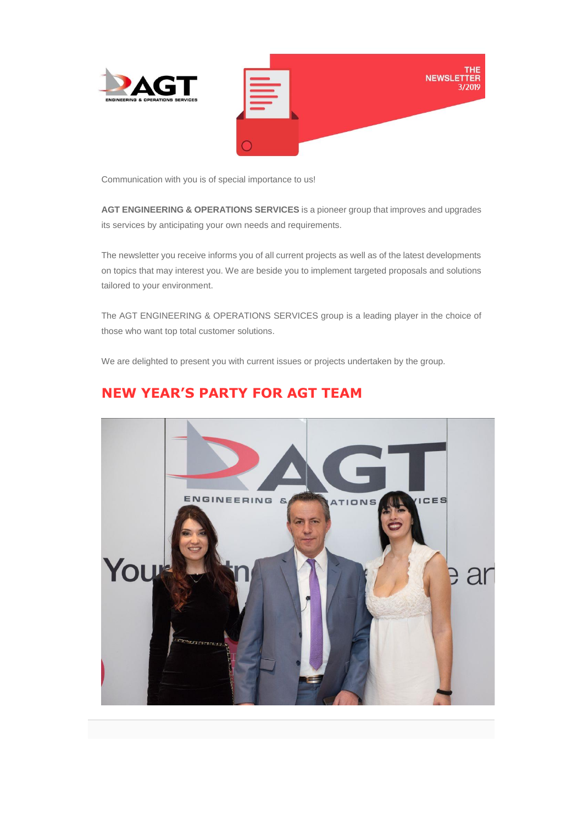

Communication with you is of special importance to us!

**AGT ENGINEERING & OPERATIONS SERVICES** is a pioneer group that improves and upgrades its services by anticipating your own needs and requirements.

The newsletter you receive informs you of all current projects as well as of the latest developments on topics that may interest you. We are beside you to implement targeted proposals and solutions tailored to your environment.

The AGT ENGINEERING & OPERATIONS SERVICES group is a leading player in the choice of those who want top total customer solutions.

We are delighted to present you with current issues or projects undertaken by the group.



## **NEW YEAR'S PARTY FOR AGT TEAM**